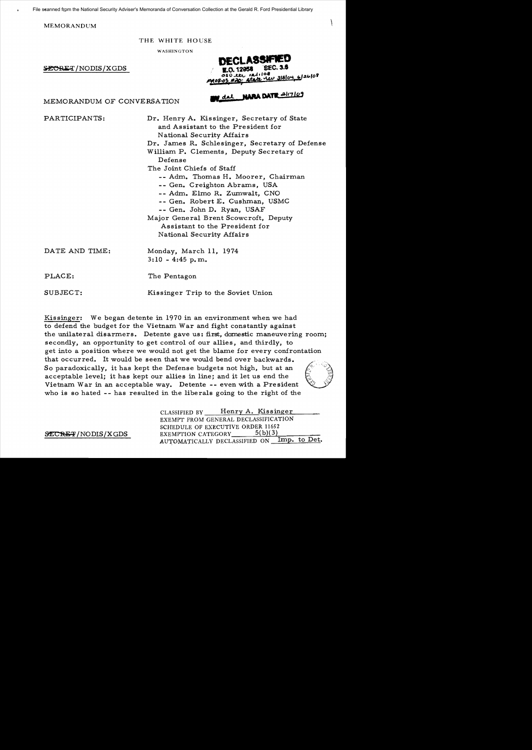$\bf MEMORANDUM$ 

THE WHITE HOUSE

WASHINGTON

SECRET/NODIS/XGDS

108  $\frac{1}{2}$   $\frac{1}{2}$   $\frac{1}{2}$   $\frac{1}{2}$   $\frac{1}{2}$   $\frac{1}{2}$   $\frac{1}{2}$   $\frac{1}{2}$   $\frac{1}{2}$   $\frac{1}{2}$   $\frac{1}{2}$   $\frac{1}{2}$   $\frac{1}{2}$   $\frac{1}{2}$   $\frac{1}{2}$   $\frac{1}{2}$   $\frac{1}{2}$   $\frac{1}{2}$   $\frac{1}{2}$   $\frac{1}{2}$   $\frac{1}{2}$   $\frac{1}{2}$  atale ros os

MEMORANDUM OF CONVERSATION **BY dal NARA DATE 21/7109** 

PARTICIPANTS: Dr. Henry A. Kissinger, Secretary of State and Assistant to the President for National Security Affairs Dr. James R. Schlesinger, Secretary of Defense William. P. Clements, Deputy Secretary of Defense The Joint Chiefs of Staff -- Adm. Thomas H. Moorer, Chairman -- Gen. Creighton Abrams, USA - - Adm. Elmo R. Zumwalt, CNO - - Gen. Robert E. Cushman, USMC -- Gen. John D. Ryan, USAF Major General Brent Scowcroft, Deputy Assistant to the President for National Security Affairs

DATE AND TIME: Monday, March 11, 1974 3: 10 - 4:45 p. m. PLACE: The Pentagon SUBJECT: Kissinger Trip to the Soviet Union

Kissinger: We began detente in 1970 in an environment when we had to defend the budget for the Vietnam War and fight constantly against the unilateral disarmers. Detente gave us: first, domestic maneuvering room; secondly, an opportunity to get control of our allies, and thirdly, to get into a position where we would not get the blame for every confrontation that occurred. It would be seen that we would bend over backwards. So paradoxically, it has kept the Defense budgets not high, but at an acceptable level; it has kept our allies in line; and it let us end the Vietnam. War in an acceptable way. Detente -- even with a President who is so hated -- has resulted in the liberals going to the right of the

CLASSIFIED BY Henry A. Kissinger EXEMPT FROM GENERAL DECLASSIFICATION SCHEDULE OF EXECUTIVE ORDER 11652  $\frac{\text{SECREF}}{\text{NODIS/KGDS}}$  EXEMPTION CATEGORY  $\frac{5(b)(3)}{\text{Imp. to Det}}$ AUTOMATICALLY DECLASSIFIED ON \_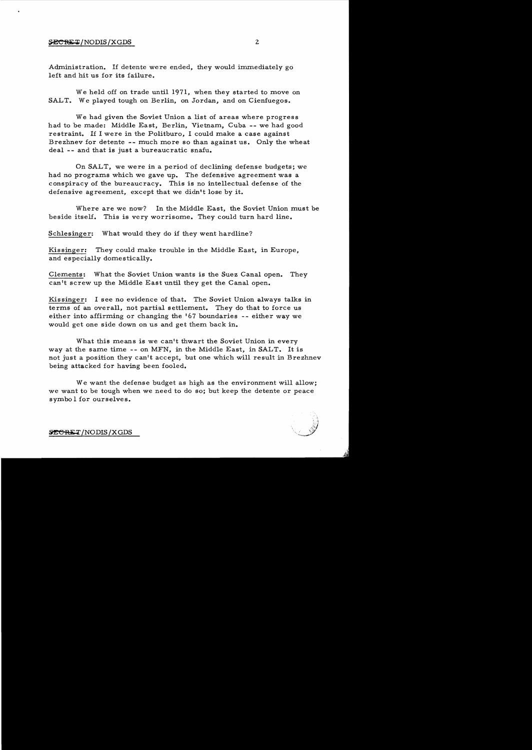Administration. If detente were ended, they would immediately go left and hit us for its failure.

We held off on trade until 1971, when they started to move on SALT. We played tough on Berlin, on Jordan, and on Cienfuegos.

We had given the Soviet Union a list of areas where progress had to be made: Middle East. Berlin. Vietnam, Cuba -- we had good restraint. If I were in the Politburo. I could make a case against Brezhnev for detente -- much more so than against us. Only the wheat deal -- and that is just a bureaucratic snafu.

On SALT, we were in a period of declining defense budgets; we had no programs which we gave up. The defensive agreement was a conspiracy of the bureaucracy. This is no intellectual defense of the defensive agreement, except that we didn't lose by it.

Where are we now? In the Middle East, the Soviet Union must be beside itself. This is very worrisome. They could turn hard line.

Schlesinger: What would they do if they went hardline?

Kissinger: They could make trouble in the Middle East, in Europe, and especially domestically.

Clements: What the Soviet Union wants is the Suez Canal open. They can't screw up the Middle East until they get the Canal open.

Kissinger: I see no evidence of that. The Soviet Union always talks in terms of an overall, not partial settlement. They do that to force us either into affirming or changing the 167 boundaries -- either way we would get one side down on us and get them back in.

What this means is we can't thwart the Soviet Union in every way at the same time -- on MFN. in the Middle East, in SALT. It is not just a position they can't accept, but one which will result in Brezhnev being attacked for having been fooled.

We want the defense budget as high as the environment will allow; we want to be tough when we need to do so; but keep the detente or peace symbo 1 for ourselves.

**SECRET**/NODIS/XGDS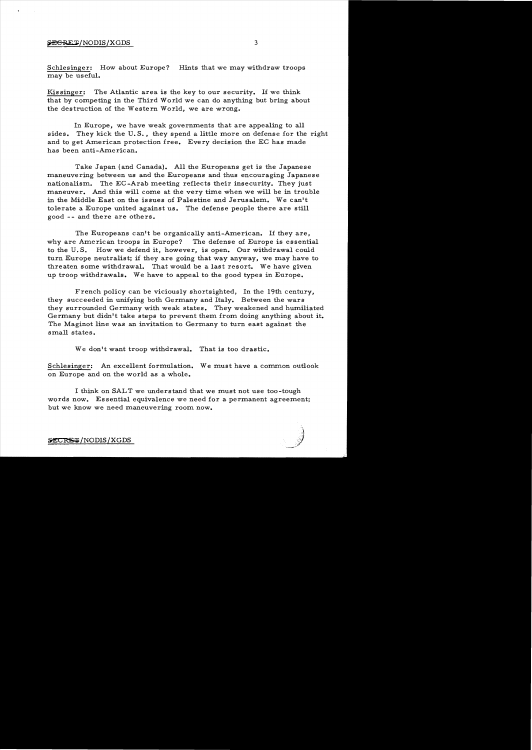#### \$ECRET/NODIS/XGDS 3

Schlesinger: How about Europe? Hints that we may withdraw troops may be useful.

Kissinger: The Atlantic area is the key to our security. If we think that by competing in the Third World we can do anything but bring about the destruction of the Western World, we are wrong.

In Europe, we have weak governments that are appealing to all sides. They kick the U.S., they spend a little more on defense for the right and to get American protection free. Every decision the EC has made has been anti-American.

Take Japan (and Canada). All the Europeans get is the Japanese maneuvering between us and the Europeans and thus encouraging Japanese nationalism. The EC -Arab meeting reflects their insecurity. They just maneuver. And this will come at the very time when we will be in trouble in the Middle East on the issues of Palestine and Jerusalem. We can't tolerate a Europe united against us. The defense people there are still good -- and there are others.

The Europeans can't be organically anti-American. If they are, why are American troops in Europe? The defense of Europe is essential to the U. S. How we defend it, however, is open. Our withdrawal could turn Europe neutralist; if they are going that way anyway, we may have to threaten some withdrawal. That would be a last resort. We have given up troop withdrawals. We have to appeal to the good types in Europe.

French policy can be viciously shortsighted, In the 19th century, they succeeded in unifying both Germany and Italy. Between the wars they surrounded Germany with weak states. They weakened and humiliated Germany but didn't take steps to prevent them from doing anything about it. The Maginot line was an invitation to Germany to turn east against the small states.

We don't want troop withdrawal. That is too drastic.

Schlesinger: An excellent formulation. We must have a common outlook on Europe and on the world as a whole.

I think on SALT we understand that we must not use too-tough words now. Essential equivalence we need for a permanent agreement; but we know we need maneuvering room now.



~/NODIS/XGDS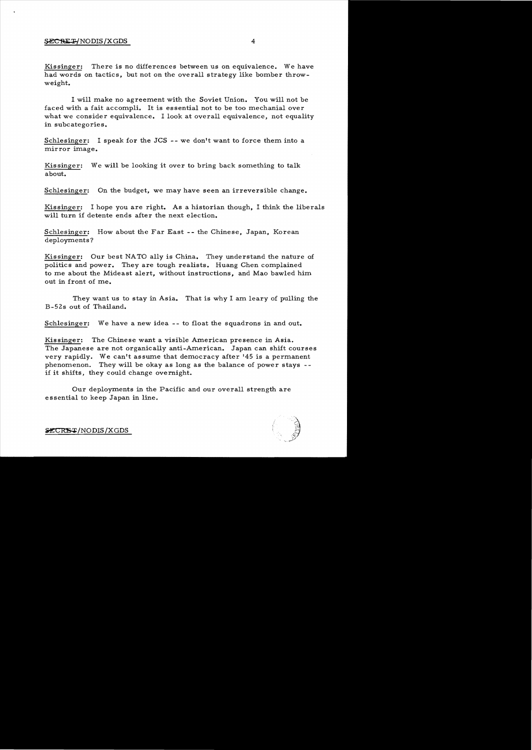Kissinger: There is no differences between us on equivalence. We have had words on tactics, but not on the overall strategy like bomber throwweight.

I will make no agreement with the Soviet Union. You will not be faced with a fait accompli. It is essential not to be too mechanial over what we consider equivalence. I look at overall equivalence, not equality in subcategories.

Schlesinger: I speak for the JCS -- we don't want to force them into a mirror image.

Kissinger: We will be looking it over to bring back something to talk about.

Schlesinger: On the budget, we may have seen an irreversible change.

Kissinger: I hope you are right. As a historian though, I think the liberals will turn if detente ends after the next election.

Schlesinger: How about the Far East -- the Chinese, Japan, Korean deployments?

Kissinger: Our best NATO ally is China. They understand the nature of politics and power. They are tough realists. Huang Chen complained to me about the Mideast alert, without instructions, and Mao bawled him out in front of me.

They want us to stay in Asia. That is why I am leary of pulling the B-52s out of Thailand.

Schlesinger: We have a new idea -- to float the squadrons in and out.

Kissinger: The Chinese want a visible American presence in Asia. The Japanese are not organically anti-American. Japan can shift courses very rapidly. We can't assume that democracy after 145 is a permanent phenomenon. They will be okay as long as the balance of power stays if it shifts, they could change overnight.

Our deployments in the Pacific and our overall strength are essential to keep Japan in line.



 $ZCKB-T/NODIS/XGDS$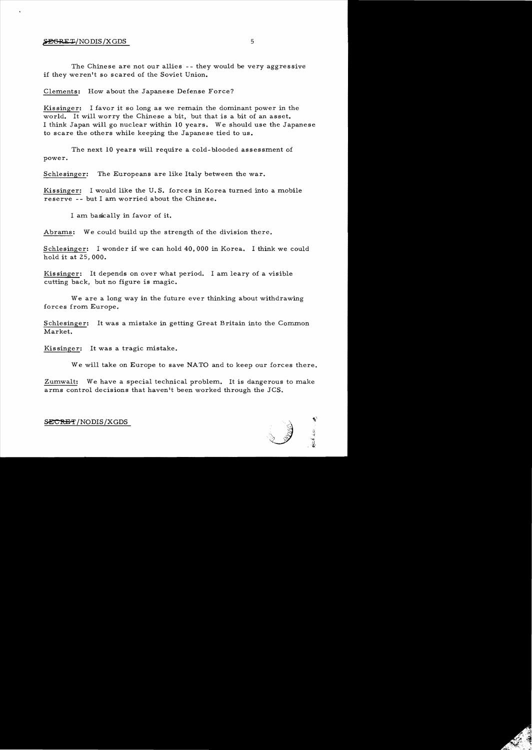### $\sqrt{\text{E}}$ GRET/NODIS/XGDS 5

The Chinese are not our allies -- they would be very aggressive if they weren't so scared of the Soviet Union.

Clements: How about the Japanese Defense Force?

Kissinger: I favor it so long as we remain the dominant power in the world. It will worry the Chinese a bit, but that is a bit of an asset. I think Japan will go nuclear within 10 years. We should use the Japanese to scare the others while keeping the Japanese tied to us.

The next 10 years will require a cold-blooded assessment of power.

Schlesinger: The Europeans are like Italy between the war.

Kissinger: I would like the U. S. forces in Korea turned into a mobile reserve -- but I am worried about the Chinese.

I am basically in favor of it.

Abrams: We could build up the strength of the division there.

Schlesinger: I wonder if we can hold 40,000 in Korea. I think we could hold it at 25,000.

Kissinger: It depends on over what period. I am leary of a visible cutting back, but no figure is magic.

Weare a long way in the future ever thinking about withdrawing forces from Europe.

Schlesinger: It was a mistake in getting Great Britain into the Common Market.

Kissinger: It was a tragic mistake.

We will take on Europe to save NATO and to keep our forces there.

Zumwalt: We have a special technical problem. It is dangerous to make arms control decisions that haven't been worked through the JCS.

SECRET/NODIS/XGDS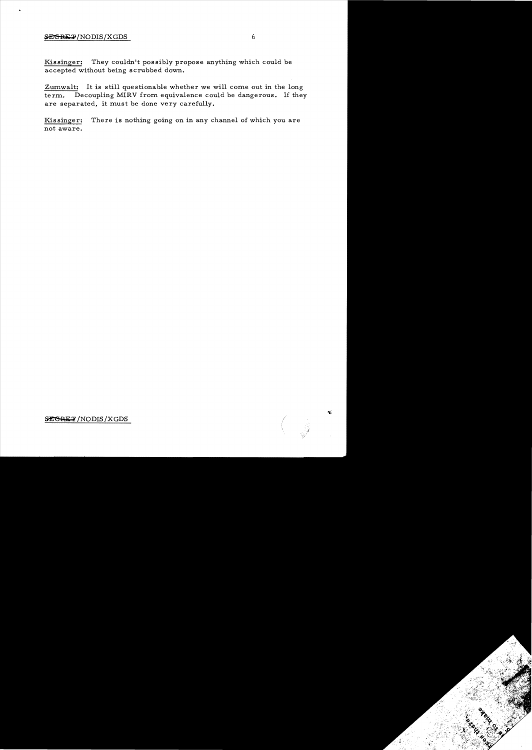## $S{\texttt{E}}$ GRE $\texttt{P}$ /NODIS/XGDS 6

 $\bullet$ 

Kissinger: They couldn't possibly propose anything which could be accepted without being scrubbed down.

Zumwalt: It is still questionable whether we will come out in the long term. Decoupling MIRV from equivalence could be dangerous. If they are separated, it must be done very carefully.

Kissinger: There is nothing going on in any channel of which you are not aware.

SEGRET/NODIS/XGDS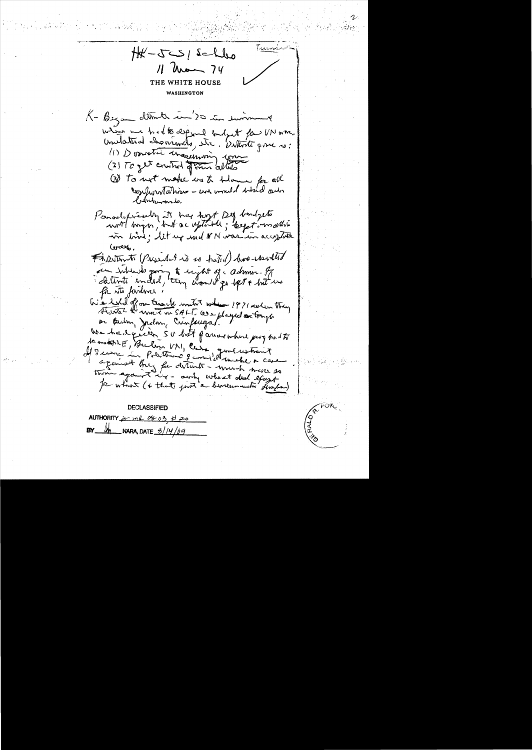Turns  $Hf-T-SI$  salles  $11$  around  $74$ WHITE HOUSE WASHINGTON K - Began ditmeter en '20 in surmount when we had to expend and get for UN was unitation channels, etc. Withite gove is: (1) Description et de la décembre de la décembre (3) To not make us to blow for all confrontations - and would wish out britannis, Persolutionally it has toget Dig bondgets in bird; let up und VN were in acceptate Corax. FADSTERNTO (Pargarellent vis so trated) have reserved du internet going to sychology admir. It for its farture. With let of our trianch mutat when 1971 reden they Have the wave on SALT. We played on trange on Berlin, Jadon, Crinfougas. We hadgiven SU but favor where pay had to temment, Bullin VN, Caro generationnet against Buy for detents - much now so thin against my - away wheat deal except for which (+ that just a birecommunity ferafran) **DECLASSIFIED** AUTHORITY <u>see und 0803</u> to 20 NARA, DATE  $\frac{6}{4}$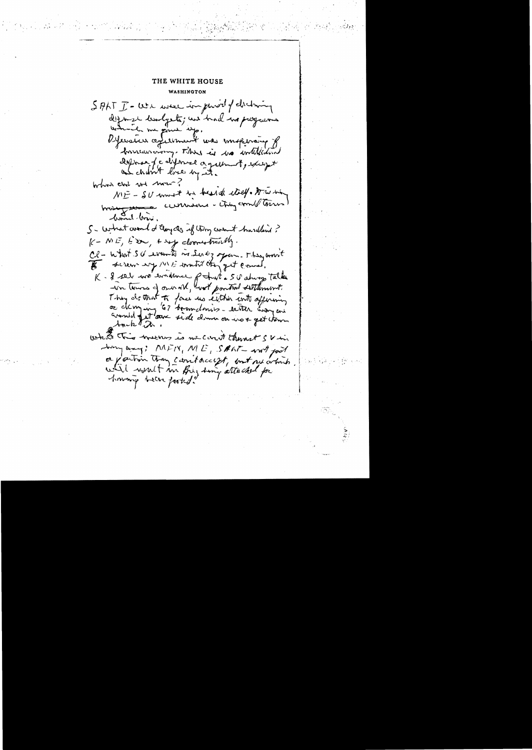# THE WHITE HOUSE WASHINGTON

SALT I - We were impured of chilming diffinite limityets; we had no payment which me give up. Défensive a ferment was imperoup of horricanony. This is to william depose fc diformal organisment, except and chilint line by it. Which chil we mount ME - SU must be beside etall truste broad the currence - thing count there bond brue, S- what would changed if thing count hardlind?  $K-ME, E$  in the doorestimated. Cl - what SU wounts in Servy open. They arrive K- 8 sel was emptyment of trat . SU abung talke wn towns of our old, wat portrait settlement. Thing do that to four us either with affering or chinging 67 boundaries - with war and avanted feet low side down on not get them  $\lambda$ muk  $\delta \chi$ what this weeks is we cann't thenout svin Joing way; MFIN, ME, SALT wit poit a partion than carritacist, but see which will won't in Big ting attached for howing been fasted.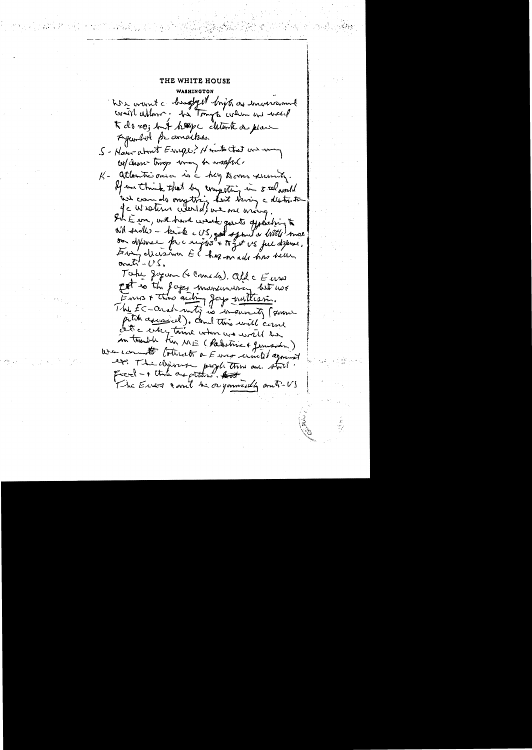## THE WHITE HOUSE

We want a bugget bright as inconversant will allow ; be Tonyto when we went K do so; but hep c chlonte a place Fyunded for amaches. S - Haw about Enger? He with that we we we choose troop way to wasped. K - attentioned is a hay to me xemity. If we think that by competing in seel would we can do ongetting hast tring a destration Je wroten where de we me win Sh E in, wil hard week gasts offeeling to Will sadhes - keick c US, got spond or With more on defense pre right + toget vs ful defenses. Every decision EC has made has belle orati $'-\cup$ s. Take Jegan (+ Come da). All c Euro pet to the fages marximusing but not Envis & those autom Jay nullism. The EC-creat mity is insureity from pitch assessed). come this will carne Let a city time when we will be son transle tin NE (Palestric + Jerussian) We commit to take to a Euro united agreed ex. The deposit people this are stall. ficial - + the are attend. And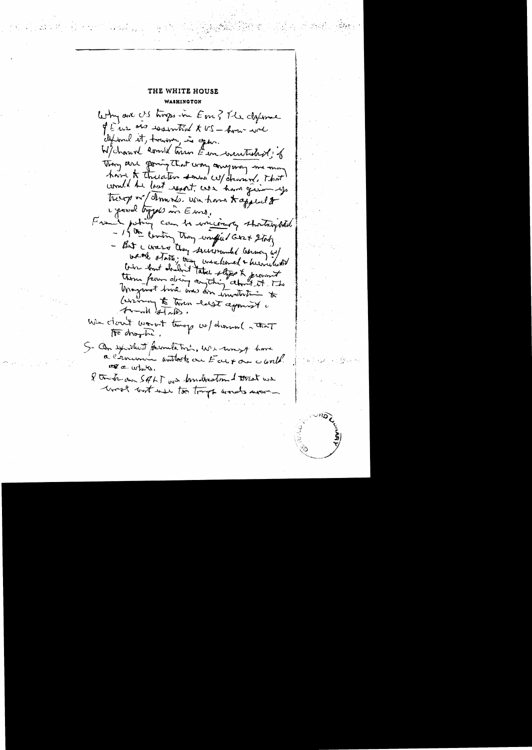THE WHITE HOUSE WAIHINGTON Why are US trops in Em ? The deforme of Euro and resembland to US - home wel clipsonal it, trouver, is open. W/ channel comment town E in wenterford; 6 Then are going that way anyway me mon have to thecater some w/ charion. That would be lost regart was have given up treep or smoke. we have to applied to Lipsook toppels in Emo, Frank pating can be writing thatropold. - 15 th Eintry though wonder 2 ging - But I was they surrounded because us/ weak state; they unsubscred & hermilisted<br>them form doubt the style & promit Unaginat true was for involving to (writing to town heldt agonist a From Hab. We cloud verot tong w/down ( that to drophe. S- On sylvable of formulation, We work of have a commence untook on Every on cand. we a white. I track au SALT us known the theat use west not use to try and we -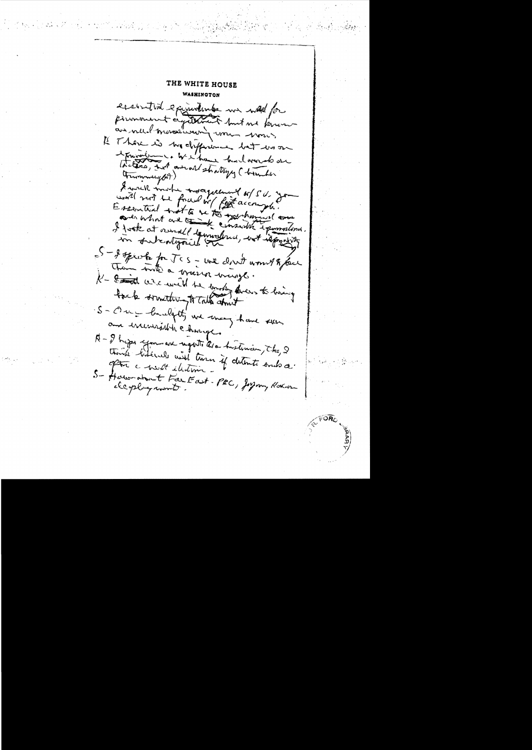THE WHITE HOUSE WASHINGTON essintial exeminations we wad for pourmonnent agathement huit me known Il Those is no difficience bet us on travalent . We i have had more do one the town, but annot stratyly ( bounder Trummery (A) A work invite morgenture of SU you Essential trat to be to take have have aver what are a six emside i pomoderni. I jost at remall tennisburg, est iconserver - I speak for JCS - we don't would glace Them took a grazion ways. K - to the desire with the sunship does to living S- One - bandgett, will many have seen am incurrable change. A-I hype you are ugotto the historien, the, I think bilevels will turn if detente sub a after a west illustrice S- Have about Far East-PRC, Joynny Kokon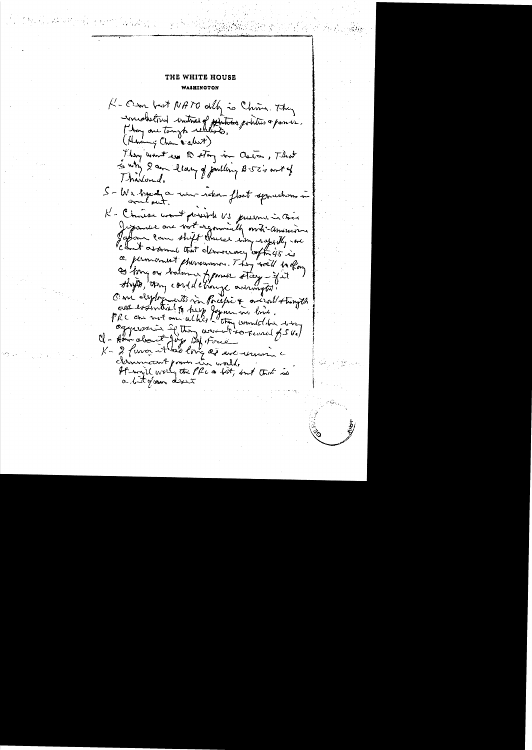## THE WHITE HOUSE WAIHINGTON

K-Om but NATO ally is China. They -voucheloud contract of photoes pointers a passive. (Having Chan & about) They won't see to stay in Caster, That is why I am blam of pulling B-52's ant of Thanlound, S-We have a win-reben-float squechons in K - Chiese wordt general VS justin in Boa Jepandel are bort exponsible ordi-american your law shift three wing rappelly are Count assumed that democracy conflicts in ce permanent phonoumment. They would be oforg S'Arry or balance framer stay - fat shifts, they could change awrington. One dylogenet in Pocific & arizall stungth cres essential to tres formations dins . "<br>PRC che vot au alhée l'otten connect dix sur ckrowncent power in world, It way'll writing the PRC as birt, but that is a bitgan dret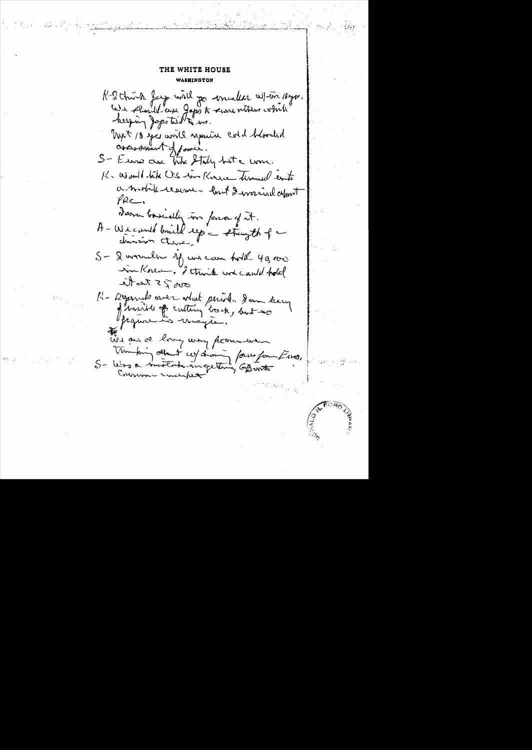## THE WHITE HOUSE WASHINGTON

R. 2 think fay will go invalid allow 18yrs. We should use Japo to severe withers which helping Japstit 1" ws Tryck 10 year world separate cold blooded assessment of fame. S- Euro are the Staly but a come. K. World like U.S. was Karra Thranel cents a workid realme - lost I warrived apport  $\mathcal{P}$ RC. dara boscially in force of it. A-Wecould brief ey - stringth of -S- & worned by was came hold 40,000 in Korea, I think we can't hole  $\mathcal{S}$  or  $\mathcal{S}$   $\mathcal{S}$  the R-Dysends over what period. Jam dary projections unagre. We are love way permember Uniform about ces channing forms format mos, 5- Was a mostatula in getting aprinter